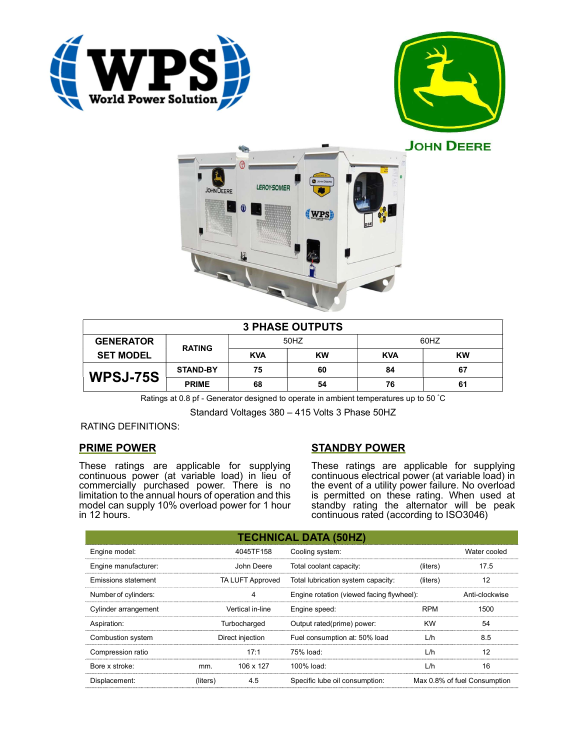





|                  |                 |            | <b>3 PHASE OUTPUTS</b> |            |           |
|------------------|-----------------|------------|------------------------|------------|-----------|
| <b>GENERATOR</b> | <b>RATING</b>   | 50HZ       |                        | 60HZ       |           |
| <b>SET MODEL</b> |                 | <b>KVA</b> | KW                     | <b>KVA</b> | <b>KW</b> |
| <b>WPSJ-75S</b>  | <b>STAND-BY</b> | 75         | 60                     | 84         | 67        |
|                  | <b>PRIME</b>    | 68         | 54                     | 76         | 61        |

Ratings at 0.8 pf - Generator designed to operate in ambient temperatures up to 50 °C

Standard Voltages 380 – 415 Volts 3 Phase 50HZ

# RATING DEFINITIONS:

# PRIME POWER

These ratings are applicable for supplying continuous power (at variable load) in lieu of commercially purchased power. There is no limitation to the annual hours of operation and this model can supply 10% overload power for 1 hour in 12 hours.

# STANDBY POWER

These ratings are applicable for supplying continuous electrical power (at variable load) in the event of a utility power failure. No overload is permitted on these rating. When used at standby rating the alternator will be peak continuous rated (according to ISO3046)

|                                                       |                  |                                    | <b>TECHNICAL DATA (50HZ)</b>              |            |                              |
|-------------------------------------------------------|------------------|------------------------------------|-------------------------------------------|------------|------------------------------|
| Engine model:                                         |                  | 4045TF158                          | Cooling system:                           |            | Water cooled                 |
| Engine manufacturer:                                  |                  | John Deere                         | Total coolant capacity:                   | (liters)   | 17.5                         |
| <b>Emissions statement</b><br><b>TA LUFT Approved</b> |                  | Total lubrication system capacity: | (liters)                                  | 12         |                              |
| Number of cylinders:                                  |                  | 4                                  | Engine rotation (viewed facing flywheel): |            | Anti-clockwise               |
| Cylinder arrangement                                  | Vertical in-line |                                    | Engine speed:                             | <b>RPM</b> | 1500                         |
| Aspiration:                                           |                  | Turbocharged                       | Output rated(prime) power:                | <b>KW</b>  | 54                           |
| Combustion system                                     |                  | Direct injection                   | Fuel consumption at: 50% load             | L/h        | 8.5                          |
| Compression ratio                                     |                  | 17:1                               | 75% load:                                 | L/h        | 12                           |
| Bore x stroke:                                        | mm.              | 106 x 127                          | 100% load:                                | L/h        | 16                           |
| Displacement:                                         | (liters)         | 4.5                                | Specific lube oil consumption:            |            | Max 0.8% of fuel Consumption |